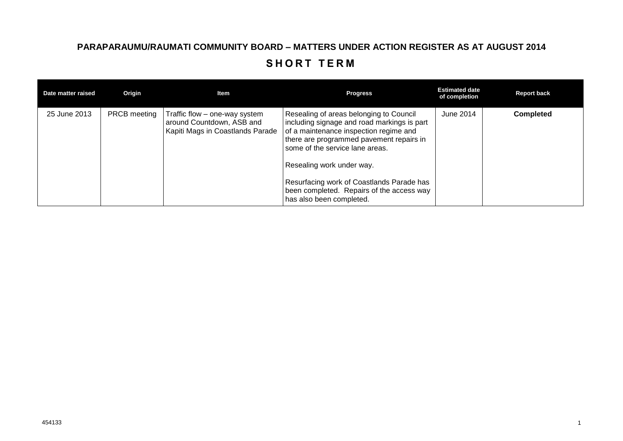## **PARAPARAUMU/RAUMATI COMMUNITY BOARD – MATTERS UNDER ACTION REGISTER AS AT AUGUST 2014** SHORT TERM

| Date matter raised | Origin              | Item                                                                                           | <b>Progress</b>                                                                                                                                                                                                                                                                                                                                                    | <b>Estimated date</b><br>of completion | <b>Report back</b> |
|--------------------|---------------------|------------------------------------------------------------------------------------------------|--------------------------------------------------------------------------------------------------------------------------------------------------------------------------------------------------------------------------------------------------------------------------------------------------------------------------------------------------------------------|----------------------------------------|--------------------|
| 25 June 2013       | <b>PRCB</b> meeting | Traffic flow – one-way system<br>around Countdown, ASB and<br>Kapiti Mags in Coastlands Parade | Resealing of areas belonging to Council<br>including signage and road markings is part<br>of a maintenance inspection regime and<br>there are programmed pavement repairs in<br>some of the service lane areas.<br>Resealing work under way.<br>Resurfacing work of Coastlands Parade has<br>been completed. Repairs of the access way<br>has also been completed. | June 2014                              | <b>Completed</b>   |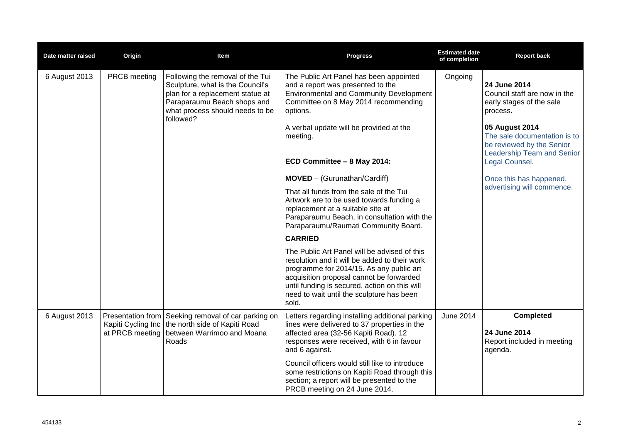| Date matter raised | Origin                                                     | Item                                                                                                                                                                                    | <b>Progress</b>                                                                                                                                                                                                                                                                              | <b>Estimated date</b><br>of completion | <b>Report back</b>                                                                                        |
|--------------------|------------------------------------------------------------|-----------------------------------------------------------------------------------------------------------------------------------------------------------------------------------------|----------------------------------------------------------------------------------------------------------------------------------------------------------------------------------------------------------------------------------------------------------------------------------------------|----------------------------------------|-----------------------------------------------------------------------------------------------------------|
| 6 August 2013      | PRCB meeting                                               | Following the removal of the Tui<br>Sculpture, what is the Council's<br>plan for a replacement statue at<br>Paraparaumu Beach shops and<br>what process should needs to be<br>followed? | The Public Art Panel has been appointed<br>and a report was presented to the<br><b>Environmental and Community Development</b><br>Committee on 8 May 2014 recommending<br>options.                                                                                                           | Ongoing                                | 24 June 2014<br>Council staff are now in the<br>early stages of the sale<br>process.                      |
|                    |                                                            |                                                                                                                                                                                         | A verbal update will be provided at the<br>meeting.                                                                                                                                                                                                                                          |                                        | 05 August 2014<br>The sale documentation is to<br>be reviewed by the Senior<br>Leadership Team and Senior |
|                    |                                                            |                                                                                                                                                                                         | ECD Committee - 8 May 2014:                                                                                                                                                                                                                                                                  |                                        | Legal Counsel.                                                                                            |
|                    |                                                            |                                                                                                                                                                                         | MOVED - (Gurunathan/Cardiff)                                                                                                                                                                                                                                                                 |                                        | Once this has happened,                                                                                   |
|                    |                                                            |                                                                                                                                                                                         | That all funds from the sale of the Tui<br>Artwork are to be used towards funding a<br>replacement at a suitable site at<br>Paraparaumu Beach, in consultation with the<br>Paraparaumu/Raumati Community Board.                                                                              |                                        | advertising will commence.                                                                                |
|                    |                                                            |                                                                                                                                                                                         | <b>CARRIED</b>                                                                                                                                                                                                                                                                               |                                        |                                                                                                           |
|                    |                                                            |                                                                                                                                                                                         | The Public Art Panel will be advised of this<br>resolution and it will be added to their work<br>programme for 2014/15. As any public art<br>acquisition proposal cannot be forwarded<br>until funding is secured, action on this will<br>need to wait until the sculpture has been<br>sold. |                                        |                                                                                                           |
| 6 August 2013      | Presentation from<br>Kapiti Cycling Inc<br>at PRCB meeting | Seeking removal of car parking on<br>the north side of Kapiti Road<br>between Warrimoo and Moana<br>Roads                                                                               | Letters regarding installing additional parking<br>lines were delivered to 37 properties in the<br>affected area (32-56 Kapiti Road). 12<br>responses were received, with 6 in favour                                                                                                        | June 2014                              | <b>Completed</b><br>24 June 2014<br>Report included in meeting                                            |
|                    |                                                            |                                                                                                                                                                                         | and 6 against.                                                                                                                                                                                                                                                                               |                                        | agenda.                                                                                                   |
|                    |                                                            |                                                                                                                                                                                         | Council officers would still like to introduce<br>some restrictions on Kapiti Road through this<br>section; a report will be presented to the<br>PRCB meeting on 24 June 2014.                                                                                                               |                                        |                                                                                                           |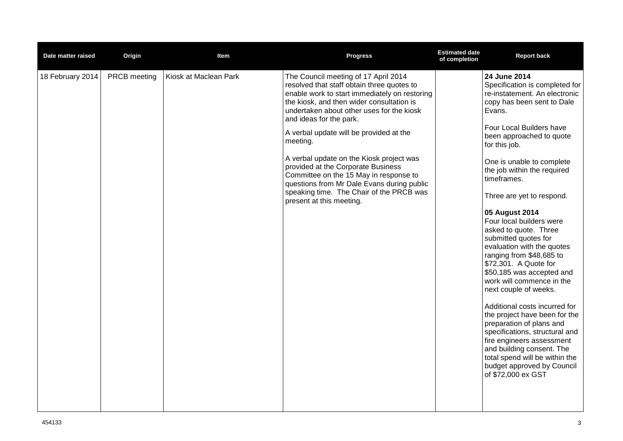| Date matter raised | Origin       | Item                  | <b>Progress</b>                                                                                                                                                                                                                                                                                                                                                                                                                                                                                                                                                   | <b>Estimated date</b><br>of completion | <b>Report back</b>                                                                                                                                                                                                                                                                                                                                                                                                                                                                                                                                                                                                                                                                                                                                                                                                                                            |
|--------------------|--------------|-----------------------|-------------------------------------------------------------------------------------------------------------------------------------------------------------------------------------------------------------------------------------------------------------------------------------------------------------------------------------------------------------------------------------------------------------------------------------------------------------------------------------------------------------------------------------------------------------------|----------------------------------------|---------------------------------------------------------------------------------------------------------------------------------------------------------------------------------------------------------------------------------------------------------------------------------------------------------------------------------------------------------------------------------------------------------------------------------------------------------------------------------------------------------------------------------------------------------------------------------------------------------------------------------------------------------------------------------------------------------------------------------------------------------------------------------------------------------------------------------------------------------------|
| 18 February 2014   | PRCB meeting | Kiosk at Maclean Park | The Council meeting of 17 April 2014<br>resolved that staff obtain three quotes to<br>enable work to start immediately on restoring<br>the kiosk, and then wider consultation is<br>undertaken about other uses for the kiosk<br>and ideas for the park.<br>A verbal update will be provided at the<br>meeting.<br>A verbal update on the Kiosk project was<br>provided at the Corporate Business<br>Committee on the 15 May in response to<br>questions from Mr Dale Evans during public<br>speaking time. The Chair of the PRCB was<br>present at this meeting. |                                        | 24 June 2014<br>Specification is completed for<br>re-instatement. An electronic<br>copy has been sent to Dale<br>Evans.<br>Four Local Builders have<br>been approached to quote<br>for this job.<br>One is unable to complete<br>the job within the required<br>timeframes.<br>Three are yet to respond.<br>05 August 2014<br>Four local builders were<br>asked to quote. Three<br>submitted quotes for<br>evaluation with the quotes<br>ranging from \$48,685 to<br>\$72,301. A Quote for<br>\$50,185 was accepted and<br>work will commence in the<br>next couple of weeks.<br>Additional costs incurred for<br>the project have been for the<br>preparation of plans and<br>specifications, structural and<br>fire engineers assessment<br>and building consent. The<br>total spend will be within the<br>budget approved by Council<br>of \$72,000 ex GST |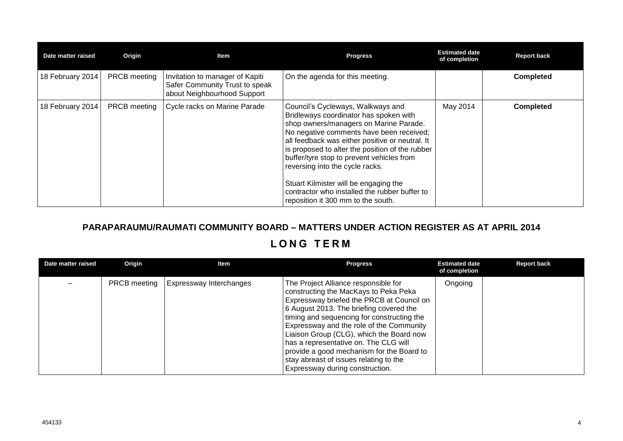| Date matter raised | Origin              | Item                                                                                             | <b>Progress</b>                                                                                                                                                                                                                                                                                                                                                                                                                                                                         | <b>Estimated date</b><br>of completion | <b>Report back</b> |
|--------------------|---------------------|--------------------------------------------------------------------------------------------------|-----------------------------------------------------------------------------------------------------------------------------------------------------------------------------------------------------------------------------------------------------------------------------------------------------------------------------------------------------------------------------------------------------------------------------------------------------------------------------------------|----------------------------------------|--------------------|
| 18 February 2014   | <b>PRCB</b> meeting | Invitation to manager of Kapiti<br>Safer Community Trust to speak<br>about Neighbourhood Support | On the agenda for this meeting.                                                                                                                                                                                                                                                                                                                                                                                                                                                         |                                        | <b>Completed</b>   |
| 18 February 2014   | <b>PRCB</b> meeting | Cycle racks on Marine Parade                                                                     | Council's Cycleways, Walkways and<br>Bridleways coordinator has spoken with<br>shop owners/managers on Marine Parade.<br>No negative comments have been received;<br>all feedback was either positive or neutral. It<br>is proposed to alter the position of the rubber<br>buffer/tyre stop to prevent vehicles from<br>reversing into the cycle racks.<br>Stuart Kilmister will be engaging the<br>contractor who installed the rubber buffer to<br>reposition it 300 mm to the south. | May 2014                               | <b>Completed</b>   |

## **PARAPARAUMU/RAUMATI COMMUNITY BOARD – MATTERS UNDER ACTION REGISTER AS AT APRIL 2014**

## **L O N G T E R M**

| Date matter raised | Origin              | Item                           | <b>Progress</b>                                                                                                                                                                                                                                                                                                                                                                                                                                                                | <b>Estimated date</b><br>of completion | <b>Report back</b> |
|--------------------|---------------------|--------------------------------|--------------------------------------------------------------------------------------------------------------------------------------------------------------------------------------------------------------------------------------------------------------------------------------------------------------------------------------------------------------------------------------------------------------------------------------------------------------------------------|----------------------------------------|--------------------|
|                    | <b>PRCB</b> meeting | <b>Expressway Interchanges</b> | The Project Alliance responsible for<br>constructing the MacKays to Peka Peka<br>Expressway briefed the PRCB at Council on<br>6 August 2013. The briefing covered the<br>timing and sequencing for constructing the<br>Expressway and the role of the Community<br>Liaison Group (CLG), which the Board now<br>has a representative on. The CLG will<br>provide a good mechanism for the Board to<br>stay abreast of issues relating to the<br>Expressway during construction. | Ongoing                                |                    |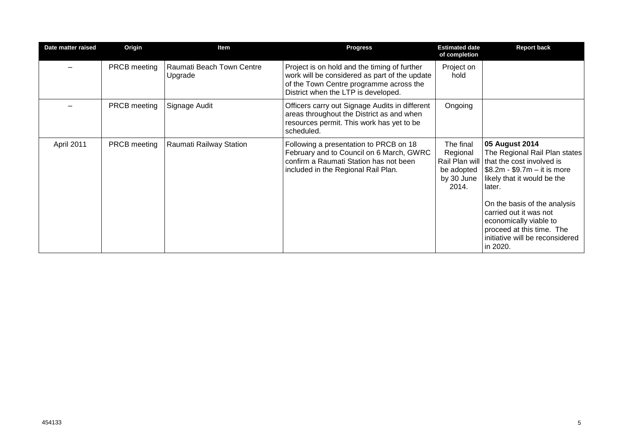| Date matter raised | Origin              | Item                                 | <b>Progress</b>                                                                                                                                                                 | <b>Estimated date</b><br>of completion                     | <b>Report back</b>                                                                                                                                                                                                                                                                                                                   |
|--------------------|---------------------|--------------------------------------|---------------------------------------------------------------------------------------------------------------------------------------------------------------------------------|------------------------------------------------------------|--------------------------------------------------------------------------------------------------------------------------------------------------------------------------------------------------------------------------------------------------------------------------------------------------------------------------------------|
|                    | PRCB meeting        | Raumati Beach Town Centre<br>Upgrade | Project is on hold and the timing of further<br>work will be considered as part of the update<br>of the Town Centre programme across the<br>District when the LTP is developed. | Project on<br>hold                                         |                                                                                                                                                                                                                                                                                                                                      |
|                    | <b>PRCB</b> meeting | Signage Audit                        | Officers carry out Signage Audits in different<br>areas throughout the District as and when<br>resources permit. This work has yet to be<br>scheduled.                          | Ongoing                                                    |                                                                                                                                                                                                                                                                                                                                      |
| April 2011         | <b>PRCB</b> meeting | Raumati Railway Station              | Following a presentation to PRCB on 18<br>February and to Council on 6 March, GWRC<br>confirm a Raumati Station has not been<br>included in the Regional Rail Plan.             | The final<br>Regional<br>be adopted<br>by 30 June<br>2014. | 05 August 2014<br>The Regional Rail Plan states<br>Rail Plan will that the cost involved is<br>\$8.2m - \$9.7m – it is more<br>likely that it would be the<br>later.<br>On the basis of the analysis<br>carried out it was not<br>economically viable to<br>proceed at this time. The<br>initiative will be reconsidered<br>in 2020. |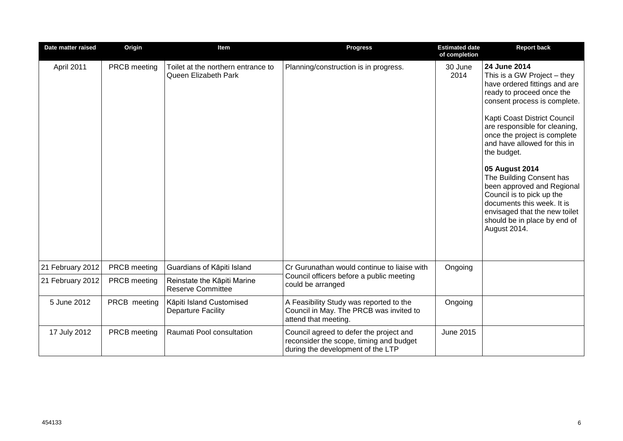| Date matter raised | Origin       | Item                                                       | <b>Progress</b>                                                                                                         | <b>Estimated date</b><br>of completion | <b>Report back</b>                                                                                                                                                                                                                                                                                                                                                                                                                                                                                                |
|--------------------|--------------|------------------------------------------------------------|-------------------------------------------------------------------------------------------------------------------------|----------------------------------------|-------------------------------------------------------------------------------------------------------------------------------------------------------------------------------------------------------------------------------------------------------------------------------------------------------------------------------------------------------------------------------------------------------------------------------------------------------------------------------------------------------------------|
| April 2011         | PRCB meeting | Toilet at the northern entrance to<br>Queen Elizabeth Park | Planning/construction is in progress.                                                                                   | 30 June<br>2014                        | 24 June 2014<br>This is a GW Project – they<br>have ordered fittings and are<br>ready to proceed once the<br>consent process is complete.<br>Kapti Coast District Council<br>are responsible for cleaning,<br>once the project is complete<br>and have allowed for this in<br>the budget.<br>05 August 2014<br>The Building Consent has<br>been approved and Regional<br>Council is to pick up the<br>documents this week. It is<br>envisaged that the new toilet<br>should be in place by end of<br>August 2014. |
| 21 February 2012   | PRCB meeting | Guardians of Kāpiti Island                                 | Cr Gurunathan would continue to liaise with                                                                             | Ongoing                                |                                                                                                                                                                                                                                                                                                                                                                                                                                                                                                                   |
| 21 February 2012   | PRCB meeting | Reinstate the Kāpiti Marine<br><b>Reserve Committee</b>    | Council officers before a public meeting<br>could be arranged                                                           |                                        |                                                                                                                                                                                                                                                                                                                                                                                                                                                                                                                   |
| 5 June 2012        | PRCB meeting | Kāpiti Island Customised<br><b>Departure Facility</b>      | A Feasibility Study was reported to the<br>Council in May. The PRCB was invited to<br>attend that meeting.              | Ongoing                                |                                                                                                                                                                                                                                                                                                                                                                                                                                                                                                                   |
| 17 July 2012       | PRCB meeting | Raumati Pool consultation                                  | Council agreed to defer the project and<br>reconsider the scope, timing and budget<br>during the development of the LTP | June 2015                              |                                                                                                                                                                                                                                                                                                                                                                                                                                                                                                                   |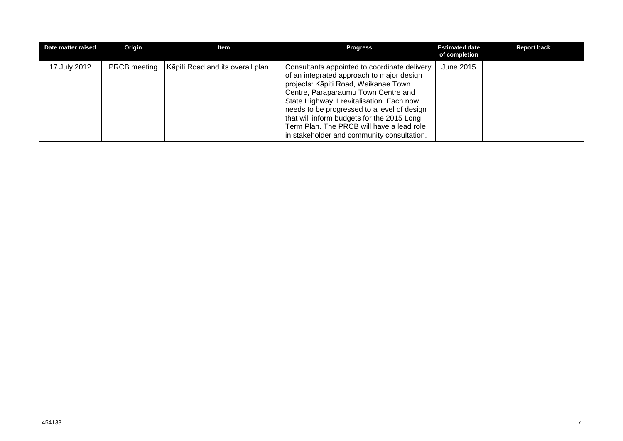| Date matter raised | Origin              | ltem                             | <b>Progress</b>                                                                                                                                                                                                                                                                                                                                                                                              | <b>Estimated date</b><br>of completion | <b>Report back</b> |
|--------------------|---------------------|----------------------------------|--------------------------------------------------------------------------------------------------------------------------------------------------------------------------------------------------------------------------------------------------------------------------------------------------------------------------------------------------------------------------------------------------------------|----------------------------------------|--------------------|
| 17 July 2012       | <b>PRCB</b> meeting | Kāpiti Road and its overall plan | Consultants appointed to coordinate delivery<br>of an integrated approach to major design<br>projects: Kāpiti Road, Waikanae Town<br>Centre, Paraparaumu Town Centre and<br>State Highway 1 revitalisation. Each now<br>needs to be progressed to a level of design<br>that will inform budgets for the 2015 Long<br>Term Plan. The PRCB will have a lead role<br>in stakeholder and community consultation. | June 2015                              |                    |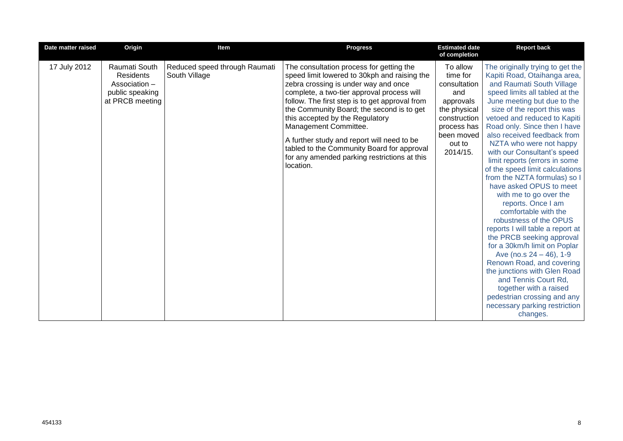| Date matter raised | Origin                                                                                   | Item                                           | <b>Progress</b>                                                                                                                                                                                                                                                                                                                                                                                                                                                                                    | <b>Estimated date</b><br>of completion                                                                                                      | <b>Report back</b>                                                                                                                                                                                                                                                                                                                                                                                                                                                                                                                                                                                                                                                                                                                                                                                                                                                                                                |
|--------------------|------------------------------------------------------------------------------------------|------------------------------------------------|----------------------------------------------------------------------------------------------------------------------------------------------------------------------------------------------------------------------------------------------------------------------------------------------------------------------------------------------------------------------------------------------------------------------------------------------------------------------------------------------------|---------------------------------------------------------------------------------------------------------------------------------------------|-------------------------------------------------------------------------------------------------------------------------------------------------------------------------------------------------------------------------------------------------------------------------------------------------------------------------------------------------------------------------------------------------------------------------------------------------------------------------------------------------------------------------------------------------------------------------------------------------------------------------------------------------------------------------------------------------------------------------------------------------------------------------------------------------------------------------------------------------------------------------------------------------------------------|
| 17 July 2012       | Raumati South<br><b>Residents</b><br>Association -<br>public speaking<br>at PRCB meeting | Reduced speed through Raumati<br>South Village | The consultation process for getting the<br>speed limit lowered to 30kph and raising the<br>zebra crossing is under way and once<br>complete, a two-tier approval process will<br>follow. The first step is to get approval from<br>the Community Board; the second is to get<br>this accepted by the Regulatory<br>Management Committee.<br>A further study and report will need to be<br>tabled to the Community Board for approval<br>for any amended parking restrictions at this<br>location. | To allow<br>time for<br>consultation<br>and<br>approvals<br>the physical<br>construction<br>process has<br>been moved<br>out to<br>2014/15. | The originally trying to get the<br>Kapiti Road, Otaihanga area,<br>and Raumati South Village<br>speed limits all tabled at the<br>June meeting but due to the<br>size of the report this was<br>vetoed and reduced to Kapiti<br>Road only. Since then I have<br>also received feedback from<br>NZTA who were not happy<br>with our Consultant's speed<br>limit reports (errors in some<br>of the speed limit calculations<br>from the NZTA formulas) so I<br>have asked OPUS to meet<br>with me to go over the<br>reports. Once I am<br>comfortable with the<br>robustness of the OPUS<br>reports I will table a report at<br>the PRCB seeking approval<br>for a 30km/h limit on Poplar<br>Ave (no.s $24 - 46$ ), 1-9<br>Renown Road, and covering<br>the junctions with Glen Road<br>and Tennis Court Rd,<br>together with a raised<br>pedestrian crossing and any<br>necessary parking restriction<br>changes. |